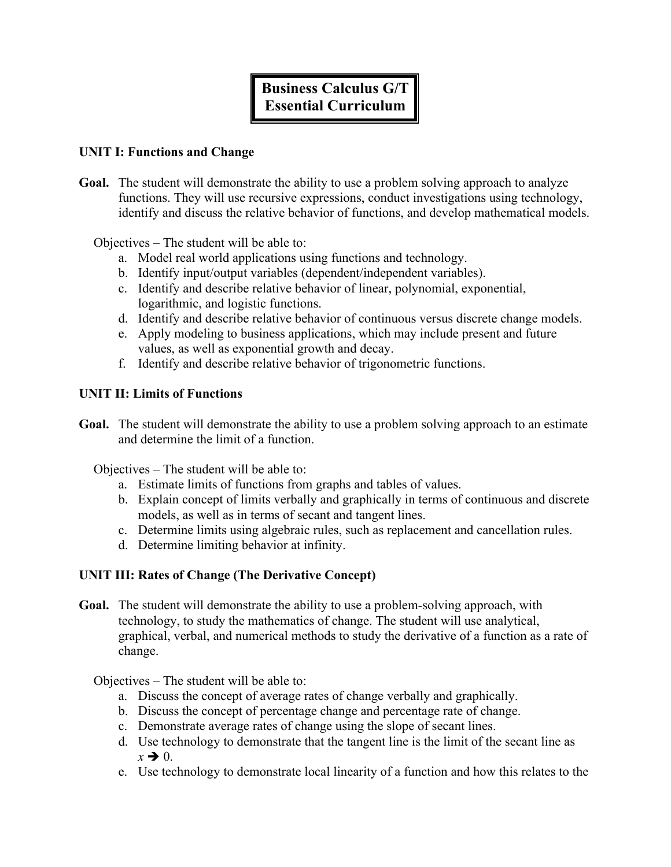# **Business Calculus G/T Essential Curriculum**

#### **UNIT I: Functions and Change**

**Goal.** The student will demonstrate the ability to use a problem solving approach to analyze functions. They will use recursive expressions, conduct investigations using technology, identify and discuss the relative behavior of functions, and develop mathematical models.

Objectives – The student will be able to:

- a. Model real world applications using functions and technology.
- b. Identify input/output variables (dependent/independent variables).
- c. Identify and describe relative behavior of linear, polynomial, exponential, logarithmic, and logistic functions.
- d. Identify and describe relative behavior of continuous versus discrete change models.
- e. Apply modeling to business applications, which may include present and future values, as well as exponential growth and decay.
- f. Identify and describe relative behavior of trigonometric functions.

#### **UNIT II: Limits of Functions**

**Goal.** The student will demonstrate the ability to use a problem solving approach to an estimate and determine the limit of a function.

Objectives – The student will be able to:

- a. Estimate limits of functions from graphs and tables of values.
- b. Explain concept of limits verbally and graphically in terms of continuous and discrete models, as well as in terms of secant and tangent lines.
- c. Determine limits using algebraic rules, such as replacement and cancellation rules.
- d. Determine limiting behavior at infinity.

#### **UNIT III: Rates of Change (The Derivative Concept)**

**Goal.** The student will demonstrate the ability to use a problem-solving approach, with technology, to study the mathematics of change. The student will use analytical, graphical, verbal, and numerical methods to study the derivative of a function as a rate of change.

Objectives – The student will be able to:

- a. Discuss the concept of average rates of change verbally and graphically.
- b. Discuss the concept of percentage change and percentage rate of change.
- c. Demonstrate average rates of change using the slope of secant lines.
- d. Use technology to demonstrate that the tangent line is the limit of the secant line as  $x \rightarrow 0$ .
- e. Use technology to demonstrate local linearity of a function and how this relates to the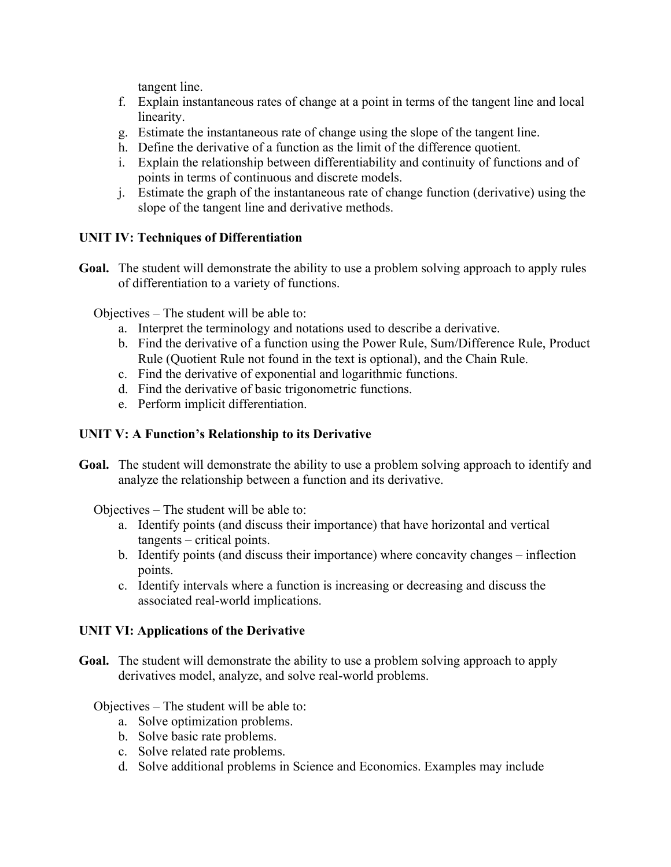tangent line.

- f. Explain instantaneous rates of change at a point in terms of the tangent line and local linearity.
- g. Estimate the instantaneous rate of change using the slope of the tangent line.
- h. Define the derivative of a function as the limit of the difference quotient.
- i. Explain the relationship between differentiability and continuity of functions and of points in terms of continuous and discrete models.
- j. Estimate the graph of the instantaneous rate of change function (derivative) using the slope of the tangent line and derivative methods.

## **UNIT IV: Techniques of Differentiation**

**Goal.** The student will demonstrate the ability to use a problem solving approach to apply rules of differentiation to a variety of functions.

Objectives – The student will be able to:

- a. Interpret the terminology and notations used to describe a derivative.
- b. Find the derivative of a function using the Power Rule, Sum/Difference Rule, Product Rule (Quotient Rule not found in the text is optional), and the Chain Rule.
- c. Find the derivative of exponential and logarithmic functions.
- d. Find the derivative of basic trigonometric functions.
- e. Perform implicit differentiation.

# **UNIT V: A Function's Relationship to its Derivative**

**Goal.** The student will demonstrate the ability to use a problem solving approach to identify and analyze the relationship between a function and its derivative.

Objectives – The student will be able to:

- a. Identify points (and discuss their importance) that have horizontal and vertical tangents – critical points.
- b. Identify points (and discuss their importance) where concavity changes inflection points.
- c. Identify intervals where a function is increasing or decreasing and discuss the associated real-world implications.

#### **UNIT VI: Applications of the Derivative**

**Goal.** The student will demonstrate the ability to use a problem solving approach to apply derivatives model, analyze, and solve real-world problems.

Objectives – The student will be able to:

- a. Solve optimization problems.
- b. Solve basic rate problems.
- c. Solve related rate problems.
- d. Solve additional problems in Science and Economics. Examples may include